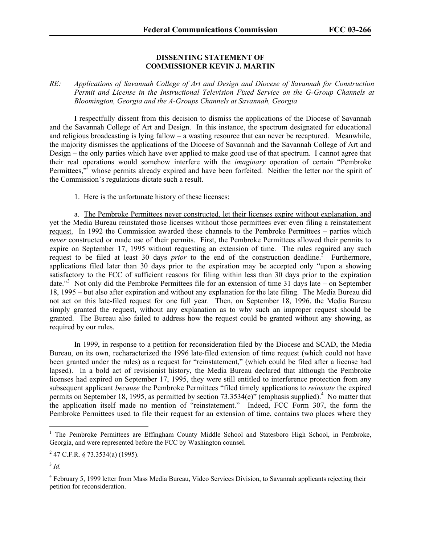## **DISSENTING STATEMENT OF COMMISSIONER KEVIN J. MARTIN**

## *RE: Applications of Savannah College of Art and Design and Diocese of Savannah for Construction Permit and License in the Instructional Television Fixed Service on the G-Group Channels at Bloomington, Georgia and the A-Groups Channels at Savannah, Georgia*

I respectfully dissent from this decision to dismiss the applications of the Diocese of Savannah and the Savannah College of Art and Design. In this instance, the spectrum designated for educational and religious broadcasting is lying fallow – a wasting resource that can never be recaptured. Meanwhile, the majority dismisses the applications of the Diocese of Savannah and the Savannah College of Art and Design – the only parties which have ever applied to make good use of that spectrum. I cannot agree that their real operations would somehow interfere with the *imaginary* operation of certain "Pembroke Permittees,"<sup>1</sup> whose permits already expired and have been forfeited. Neither the letter nor the spirit of the Commission's regulations dictate such a result.

1. Here is the unfortunate history of these licenses:

a. The Pembroke Permittees never constructed, let their licenses expire without explanation, and yet the Media Bureau reinstated those licenses without those permittees ever even filing a reinstatement request. In 1992 the Commission awarded these channels to the Pembroke Permittees – parties which *never* constructed or made use of their permits. First, the Pembroke Permittees allowed their permits to expire on September 17, 1995 without requesting an extension of time. The rules required any such request to be filed at least 30 days *prior* to the end of the construction deadline.<sup>2</sup> Furthermore, applications filed later than 30 days prior to the expiration may be accepted only "upon a showing satisfactory to the FCC of sufficient reasons for filing within less than 30 days prior to the expiration date."<sup>3</sup> Not only did the Pembroke Permittees file for an extension of time 31 days late – on September 18, 1995 – but also after expiration and without any explanation for the late filing. The Media Bureau did not act on this late-filed request for one full year. Then, on September 18, 1996, the Media Bureau simply granted the request, without any explanation as to why such an improper request should be granted. The Bureau also failed to address how the request could be granted without any showing, as required by our rules.

In 1999, in response to a petition for reconsideration filed by the Diocese and SCAD, the Media Bureau, on its own, recharacterized the 1996 late-filed extension of time request (which could not have been granted under the rules) as a request for "reinstatement," (which could be filed after a license had lapsed). In a bold act of revisionist history, the Media Bureau declared that although the Pembroke licenses had expired on September 17, 1995, they were still entitled to interference protection from any subsequent applicant *because* the Pembroke Permittees "filed timely applications to *reinstate* the expired permits on September 18, 1995, as permitted by section  $73.3534(e)$ <sup>"</sup> (emphasis supplied).<sup>4</sup> No matter that the application itself made no mention of "reinstatement." Indeed, FCC Form 307, the form the Pembroke Permittees used to file their request for an extension of time, contains two places where they

 $\overline{a}$ 

<sup>&</sup>lt;sup>1</sup> The Pembroke Permittees are Effingham County Middle School and Statesboro High School, in Pembroke, Georgia, and were represented before the FCC by Washington counsel.

 $2^{2}$  47 C.F.R. § 73.3534(a) (1995).

 $3$  *Id.* 

<sup>&</sup>lt;sup>4</sup> February 5, 1999 letter from Mass Media Bureau, Video Services Division, to Savannah applicants rejecting their petition for reconsideration.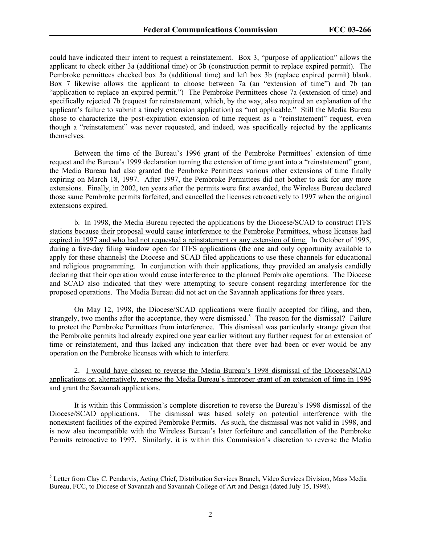could have indicated their intent to request a reinstatement. Box 3, "purpose of application" allows the applicant to check either 3a (additional time) or 3b (construction permit to replace expired permit). The Pembroke permittees checked box 3a (additional time) and left box 3b (replace expired permit) blank. Box 7 likewise allows the applicant to choose between 7a (an "extension of time") and 7b (an "application to replace an expired permit.") The Pembroke Permittees chose 7a (extension of time) and specifically rejected 7b (request for reinstatement, which, by the way, also required an explanation of the applicant's failure to submit a timely extension application) as "not applicable." Still the Media Bureau chose to characterize the post-expiration extension of time request as a "reinstatement" request, even though a "reinstatement" was never requested, and indeed, was specifically rejected by the applicants themselves.

Between the time of the Bureau's 1996 grant of the Pembroke Permittees' extension of time request and the Bureau's 1999 declaration turning the extension of time grant into a "reinstatement" grant, the Media Bureau had also granted the Pembroke Permittees various other extensions of time finally expiring on March 18, 1997. After 1997, the Pembroke Permittees did not bother to ask for any more extensions. Finally, in 2002, ten years after the permits were first awarded, the Wireless Bureau declared those same Pembroke permits forfeited, and cancelled the licenses retroactively to 1997 when the original extensions expired.

 b. In 1998, the Media Bureau rejected the applications by the Diocese/SCAD to construct ITFS stations because their proposal would cause interference to the Pembroke Permittees, whose licenses had expired in 1997 and who had not requested a reinstatement or any extension of time. In October of 1995, during a five-day filing window open for ITFS applications (the one and only opportunity available to apply for these channels) the Diocese and SCAD filed applications to use these channels for educational and religious programming. In conjunction with their applications, they provided an analysis candidly declaring that their operation would cause interference to the planned Pembroke operations. The Diocese and SCAD also indicated that they were attempting to secure consent regarding interference for the proposed operations. The Media Bureau did not act on the Savannah applications for three years.

On May 12, 1998, the Diocese/SCAD applications were finally accepted for filing, and then, strangely, two months after the acceptance, they were dismissed.<sup>5</sup> The reason for the dismissal? Failure to protect the Pembroke Permittees from interference. This dismissal was particularly strange given that the Pembroke permits had already expired one year earlier without any further request for an extension of time or reinstatement, and thus lacked any indication that there ever had been or ever would be any operation on the Pembroke licenses with which to interfere.

 2. I would have chosen to reverse the Media Bureau's 1998 dismissal of the Diocese/SCAD applications or, alternatively, reverse the Media Bureau's improper grant of an extension of time in 1996 and grant the Savannah applications.

It is within this Commission's complete discretion to reverse the Bureau's 1998 dismissal of the Diocese/SCAD applications. The dismissal was based solely on potential interference with the nonexistent facilities of the expired Pembroke Permits. As such, the dismissal was not valid in 1998, and is now also incompatible with the Wireless Bureau's later forfeiture and cancellation of the Pembroke Permits retroactive to 1997. Similarly, it is within this Commission's discretion to reverse the Media

 $\overline{a}$ 

<sup>&</sup>lt;sup>5</sup> Letter from Clay C. Pendarvis, Acting Chief, Distribution Services Branch, Video Services Division, Mass Media Bureau, FCC, to Diocese of Savannah and Savannah College of Art and Design (dated July 15, 1998).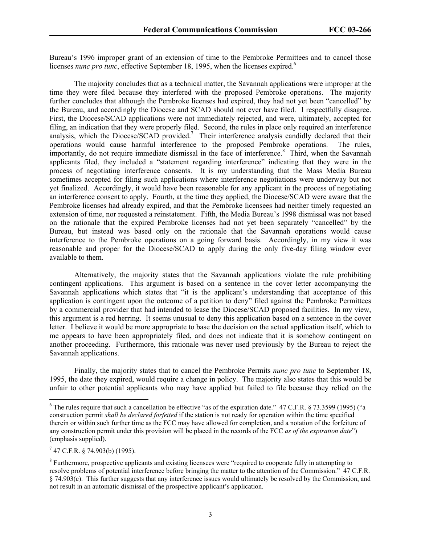Bureau's 1996 improper grant of an extension of time to the Pembroke Permittees and to cancel those licenses *nunc pro tunc*, effective September 18, 1995, when the licenses expired.<sup>6</sup>

The majority concludes that as a technical matter, the Savannah applications were improper at the time they were filed because they interfered with the proposed Pembroke operations. The majority further concludes that although the Pembroke licenses had expired, they had not yet been "cancelled" by the Bureau, and accordingly the Diocese and SCAD should not ever have filed. I respectfully disagree. First, the Diocese/SCAD applications were not immediately rejected, and were, ultimately, accepted for filing, an indication that they were properly filed. Second, the rules in place only required an interference analysis, which the Diocese/SCAD provided.<sup>7</sup> Their interference analysis candidly declared that their operations would cause harmful interference to the proposed Pembroke operations. The rules, importantly, do not require immediate dismissal in the face of interference.<sup>8</sup> Third, when the Savannah applicants filed, they included a "statement regarding interference" indicating that they were in the process of negotiating interference consents. It is my understanding that the Mass Media Bureau sometimes accepted for filing such applications where interference negotiations were underway but not yet finalized. Accordingly, it would have been reasonable for any applicant in the process of negotiating an interference consent to apply. Fourth, at the time they applied, the Diocese/SCAD were aware that the Pembroke licenses had already expired, and that the Pembroke licensees had neither timely requested an extension of time, nor requested a reinstatement. Fifth, the Media Bureau's 1998 dismissal was not based on the rationale that the expired Pembroke licenses had not yet been separately "cancelled" by the Bureau, but instead was based only on the rationale that the Savannah operations would cause interference to the Pembroke operations on a going forward basis. Accordingly, in my view it was reasonable and proper for the Diocese/SCAD to apply during the only five-day filing window ever available to them.

Alternatively, the majority states that the Savannah applications violate the rule prohibiting contingent applications. This argument is based on a sentence in the cover letter accompanying the Savannah applications which states that "it is the applicant's understanding that acceptance of this application is contingent upon the outcome of a petition to deny" filed against the Pembroke Permittees by a commercial provider that had intended to lease the Diocese/SCAD proposed facilities. In my view, this argument is a red herring. It seems unusual to deny this application based on a sentence in the cover letter. I believe it would be more appropriate to base the decision on the actual application itself, which to me appears to have been appropriately filed, and does not indicate that it is somehow contingent on another proceeding. Furthermore, this rationale was never used previously by the Bureau to reject the Savannah applications.

Finally, the majority states that to cancel the Pembroke Permits *nunc pro tunc* to September 18, 1995, the date they expired, would require a change in policy. The majority also states that this would be unfair to other potential applicants who may have applied but failed to file because they relied on the

 $7$  47 C.F.R. § 74.903(b) (1995).

<sup>&</sup>lt;sup>6</sup> The rules require that such a cancellation be effective "as of the expiration date." 47 C.F.R. § 73.3599 (1995) ("a construction permit *shall be declared forfeited* if the station is not ready for operation within the time specified therein or within such further time as the FCC may have allowed for completion, and a notation of the forfeiture of any construction permit under this provision will be placed in the records of the FCC *as of the expiration date*") (emphasis supplied).

 $8$  Furthermore, prospective applicants and existing licensees were "required to cooperate fully in attempting to resolve problems of potential interference before bringing the matter to the attention of the Commission." 47 C.F.R. § 74.903(c). This further suggests that any interference issues would ultimately be resolved by the Commission, and not result in an automatic dismissal of the prospective applicant's application.